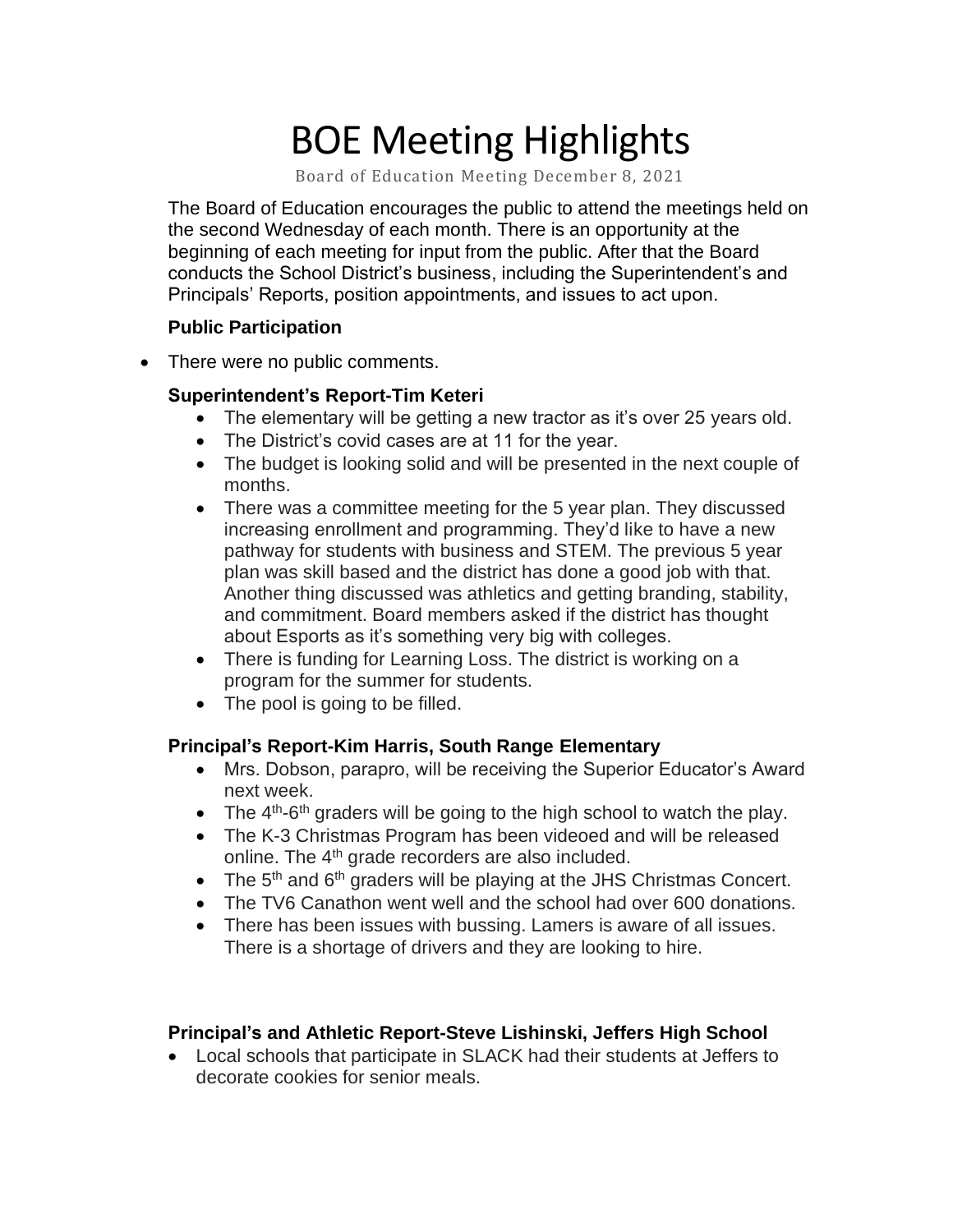# BOE Meeting Highlights

Board of Education Meeting December 8, 2021

 The Board of Education encourages the public to attend the meetings held on the second Wednesday of each month. There is an opportunity at the beginning of each meeting for input from the public. After that the Board conducts the School District's business, including the Superintendent's and Principals' Reports, position appointments, and issues to act upon.

### **Public Participation**

• There were no public comments.

### **Superintendent's Report-Tim Keteri**

- The elementary will be getting a new tractor as it's over 25 years old.
- The District's covid cases are at 11 for the year.
- • The budget is looking solid and will be presented in the next couple of months.
- • There was a committee meeting for the 5 year plan. They discussed increasing enrollment and programming. They'd like to have a new pathway for students with business and STEM. The previous 5 year plan was skill based and the district has done a good job with that. Another thing discussed was athletics and getting branding, stability, and commitment. Board members asked if the district has thought about Esports as it's something very big with colleges.
- • There is funding for Learning Loss. The district is working on a program for the summer for students.
- The pool is going to be filled.

# **Principal's Report-Kim Harris, South Range Elementary**

- • Mrs. Dobson, parapro, will be receiving the Superior Educator's Award next week.
- The  $4<sup>th</sup>$ -6<sup>th</sup> graders will be going to the high school to watch the play.
- • The K-3 Christmas Program has been videoed and will be released online. The 4<sup>th</sup> grade recorders are also included.
- The  $5<sup>th</sup>$  and  $6<sup>th</sup>$  graders will be playing at the JHS Christmas Concert.
- The TV6 Canathon went well and the school had over 600 donations.
- • There has been issues with bussing. Lamers is aware of all issues. There is a shortage of drivers and they are looking to hire.

# **Principal's and Athletic Report-Steve Lishinski, Jeffers High School**

 • Local schools that participate in SLACK had their students at Jeffers to decorate cookies for senior meals.